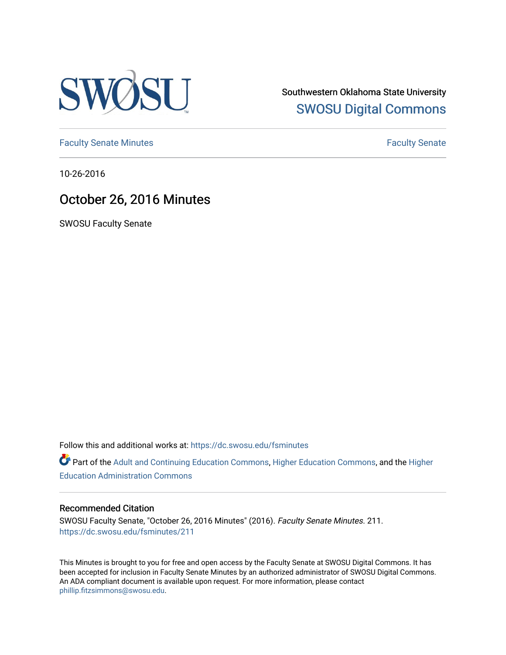

Southwestern Oklahoma State University [SWOSU Digital Commons](https://dc.swosu.edu/) 

[Faculty Senate Minutes](https://dc.swosu.edu/fsminutes) **Faculty** Senate Minutes

10-26-2016

# October 26, 2016 Minutes

SWOSU Faculty Senate

Follow this and additional works at: [https://dc.swosu.edu/fsminutes](https://dc.swosu.edu/fsminutes?utm_source=dc.swosu.edu%2Ffsminutes%2F211&utm_medium=PDF&utm_campaign=PDFCoverPages) 

Part of the [Adult and Continuing Education Commons,](http://network.bepress.com/hgg/discipline/1375?utm_source=dc.swosu.edu%2Ffsminutes%2F211&utm_medium=PDF&utm_campaign=PDFCoverPages) [Higher Education Commons,](http://network.bepress.com/hgg/discipline/1245?utm_source=dc.swosu.edu%2Ffsminutes%2F211&utm_medium=PDF&utm_campaign=PDFCoverPages) and the [Higher](http://network.bepress.com/hgg/discipline/791?utm_source=dc.swosu.edu%2Ffsminutes%2F211&utm_medium=PDF&utm_campaign=PDFCoverPages) [Education Administration Commons](http://network.bepress.com/hgg/discipline/791?utm_source=dc.swosu.edu%2Ffsminutes%2F211&utm_medium=PDF&utm_campaign=PDFCoverPages) 

#### Recommended Citation

SWOSU Faculty Senate, "October 26, 2016 Minutes" (2016). Faculty Senate Minutes. 211. [https://dc.swosu.edu/fsminutes/211](https://dc.swosu.edu/fsminutes/211?utm_source=dc.swosu.edu%2Ffsminutes%2F211&utm_medium=PDF&utm_campaign=PDFCoverPages) 

This Minutes is brought to you for free and open access by the Faculty Senate at SWOSU Digital Commons. It has been accepted for inclusion in Faculty Senate Minutes by an authorized administrator of SWOSU Digital Commons. An ADA compliant document is available upon request. For more information, please contact [phillip.fitzsimmons@swosu.edu](mailto:phillip.fitzsimmons@swosu.edu).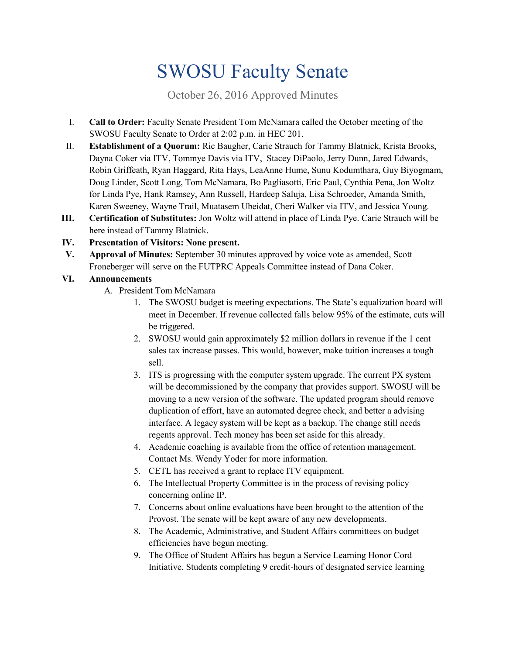# SWOSU Faculty Senate

October 26, 2016 Approved Minutes

- I. **Call to Order:** Faculty Senate President Tom McNamara called the October meeting of the SWOSU Faculty Senate to Order at 2:02 p.m. in HEC 201.
- II. **Establishment of a Quorum:** Ric Baugher, Carie Strauch for Tammy Blatnick, Krista Brooks, Dayna Coker via ITV, Tommye Davis via ITV, Stacey DiPaolo, Jerry Dunn, Jared Edwards, Robin Griffeath, Ryan Haggard, Rita Hays, LeaAnne Hume, Sunu Kodumthara, Guy Biyogmam, Doug Linder, Scott Long, Tom McNamara, Bo Pagliasotti, Eric Paul, Cynthia Pena, Jon Woltz for Linda Pye, Hank Ramsey, Ann Russell, Hardeep Saluja, Lisa Schroeder, Amanda Smith, Karen Sweeney, Wayne Trail, Muatasem Ubeidat, Cheri Walker via ITV, and Jessica Young.
- **III. Certification of Substitutes:** Jon Woltz will attend in place of Linda Pye. Carie Strauch will be here instead of Tammy Blatnick.

### **IV. Presentation of Visitors: None present.**

**V. Approval of Minutes:** September 30 minutes approved by voice vote as amended, Scott Froneberger will serve on the FUTPRC Appeals Committee instead of Dana Coker.

## **VI. Announcements**

- A. President Tom McNamara
	- 1. The SWOSU budget is meeting expectations. The State's equalization board will meet in December. If revenue collected falls below 95% of the estimate, cuts will be triggered.
	- 2. SWOSU would gain approximately \$2 million dollars in revenue if the 1 cent sales tax increase passes. This would, however, make tuition increases a tough sell.
	- 3. ITS is progressing with the computer system upgrade. The current PX system will be decommissioned by the company that provides support. SWOSU will be moving to a new version of the software. The updated program should remove duplication of effort, have an automated degree check, and better a advising interface. A legacy system will be kept as a backup. The change still needs regents approval. Tech money has been set aside for this already.
	- 4. Academic coaching is available from the office of retention management. Contact Ms. Wendy Yoder for more information.
	- 5. CETL has received a grant to replace ITV equipment.
	- 6. The Intellectual Property Committee is in the process of revising policy concerning online IP.
	- 7. Concerns about online evaluations have been brought to the attention of the Provost. The senate will be kept aware of any new developments.
	- 8. The Academic, Administrative, and Student Affairs committees on budget efficiencies have begun meeting.
	- 9. The Office of Student Affairs has begun a Service Learning Honor Cord Initiative. Students completing 9 credit-hours of designated service learning